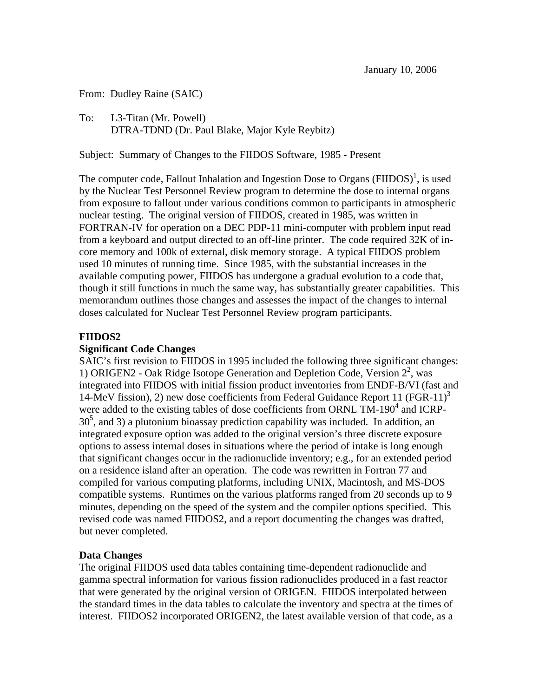From: Dudley Raine (SAIC)

To: L3-Titan (Mr. Powell) DTRA-TDND (Dr. Paul Blake, Major Kyle Reybitz)

Subject: Summary of Changes to the FIIDOS Software, 1985 - Present

The computer code, Fallout Inhalation and Ingestion Dose to Organs  $(FIDOS)^{1}$ , is used by the Nuclear Test Personnel Review program to determine the dose to internal organs from exposure to fallout under various conditions common to participants in atmospheric nuclear testing. The original version of FIIDOS, created in 1985, was written in FORTRAN-IV for operation on a DEC PDP-11 mini-computer with problem input read from a keyboard and output directed to an off-line printer. The code required 32K of incore memory and 100k of external, disk memory storage. A typical FIIDOS problem used 10 minutes of running time. Since 1985, with the substantial increases in the available computing power, FIIDOS has undergone a gradual evolution to a code that, though it still functions in much the same way, has substantially greater capabilities. This memorandum outlines those changes and assesses the impact of the changes to internal doses calculated for Nuclear Test Personnel Review program participants.

### **FIIDOS2**

#### **Significant Code Changes**

SAIC's first revision to FIIDOS in 1995 included the following three significant changes: 1) ORIGEN2 - Oak Ridge Isotope Generation and Depletion Code, Version  $2^2$ , was integrated into FIIDOS with initial fission product inventories from ENDF-B/VI (fast and 14-MeV fission), 2) new dose coefficients from Federal Guidance Report 11 (FGR-11)<sup>3</sup> were added to the existing tables of dose coefficients from ORNL  $TM-190^4$  and ICRP- $30<sup>5</sup>$ , and 3) a plutonium bioassay prediction capability was included. In addition, an integrated exposure option was added to the original version's three discrete exposure options to assess internal doses in situations where the period of intake is long enough that significant changes occur in the radionuclide inventory; e.g., for an extended period on a residence island after an operation. The code was rewritten in Fortran 77 and compiled for various computing platforms, including UNIX, Macintosh, and MS-DOS compatible systems. Runtimes on the various platforms ranged from 20 seconds up to 9 minutes, depending on the speed of the system and the compiler options specified. This revised code was named FIIDOS2, and a report documenting the changes was drafted, but never completed.

#### **Data Changes**

The original FIIDOS used data tables containing time-dependent radionuclide and gamma spectral information for various fission radionuclides produced in a fast reactor that were generated by the original version of ORIGEN. FIIDOS interpolated between the standard times in the data tables to calculate the inventory and spectra at the times of interest. FIIDOS2 incorporated ORIGEN2, the latest available version of that code, as a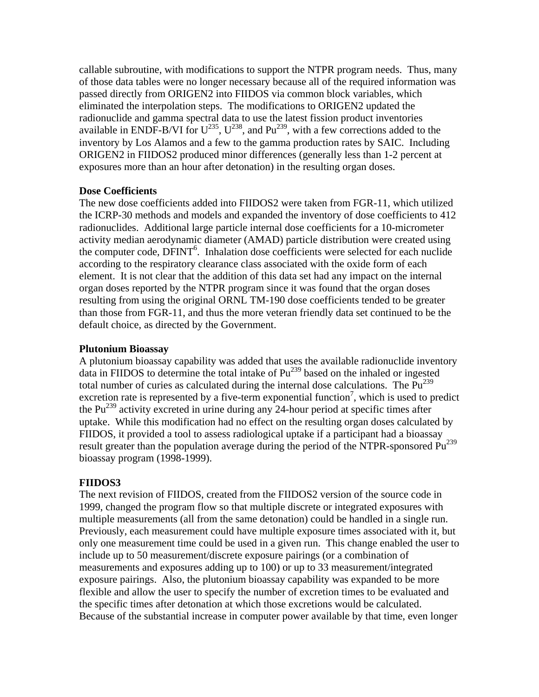callable subroutine, with modifications to support the NTPR program needs. Thus, many of those data tables were no longer necessary because all of the required information was passed directly from ORIGEN2 into FIIDOS via common block variables, which eliminated the interpolation steps. The modifications to ORIGEN2 updated the radionuclide and gamma spectral data to use the latest fission product inventories available in ENDF-B/VI for  $U^{235}$ ,  $U^{238}$ , and Pu<sup>239</sup>, with a few corrections added to the inventory by Los Alamos and a few to the gamma production rates by SAIC. Including ORIGEN2 in FIIDOS2 produced minor differences (generally less than 1-2 percent at exposures more than an hour after detonation) in the resulting organ doses.

## **Dose Coefficients**

The new dose coefficients added into FIIDOS2 were taken from FGR-11, which utilized the ICRP-30 methods and models and expanded the inventory of dose coefficients to 412 radionuclides. Additional large particle internal dose coefficients for a 10-micrometer activity median aerodynamic diameter (AMAD) particle distribution were created using the computer code, DFINT<sup>6</sup>. Inhalation dose coefficients were selected for each nuclide according to the respiratory clearance class associated with the oxide form of each element. It is not clear that the addition of this data set had any impact on the internal organ doses reported by the NTPR program since it was found that the organ doses resulting from using the original ORNL TM-190 dose coefficients tended to be greater than those from FGR-11, and thus the more veteran friendly data set continued to be the default choice, as directed by the Government.

### **Plutonium Bioassay**

A plutonium bioassay capability was added that uses the available radionuclide inventory data in FIIDOS to determine the total intake of  $Pu^{239}$  based on the inhaled or ingested total number of curies as calculated during the internal dose calculations. The  $Pu^{239}$ excretion rate is represented by a five-term exponential function<sup>7</sup>, which is used to predict the Pu<sup>239</sup> activity excreted in urine during any 24-hour period at specific times after uptake. While this modification had no effect on the resulting organ doses calculated by FIIDOS, it provided a tool to assess radiological uptake if a participant had a bioassay result greater than the population average during the period of the NTPR-sponsored Pu<sup>239</sup> bioassay program (1998-1999).

## **FIIDOS3**

 multiple measurements (all from the same detonation) could be handled in a single run. Previously, each measurement could have multiple exposure times associated with it, but The next revision of FIIDOS, created from the FIIDOS2 version of the source code in 1999, changed the program flow so that multiple discrete or integrated exposures with only one measurement time could be used in a given run. This change enabled the user to include up to 50 measurement/discrete exposure pairings (or a combination of measurements and exposures adding up to 100) or up to 33 measurement/integrated exposure pairings. Also, the plutonium bioassay capability was expanded to be more flexible and allow the user to specify the number of excretion times to be evaluated and the specific times after detonation at which those excretions would be calculated. Because of the substantial increase in computer power available by that time, even longer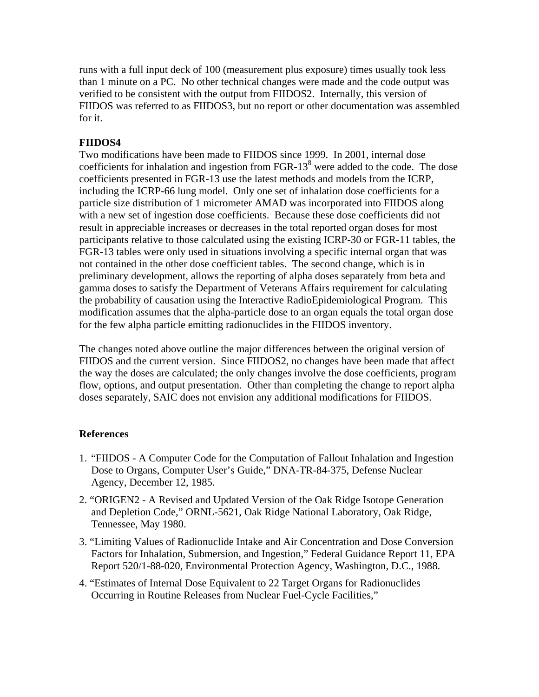runs with a full input deck of 100 (measurement plus exposure) times usually took less than 1 minute on a PC. No other technical changes were made and the code output was verified to be consistent with the output from FIIDOS2. Internally, this version of FIIDOS was referred to as FIIDOS3, but no report or other documentation was assembled for it.

# **FIIDOS4**

Two modifications have been made to FIIDOS since 1999. In 2001, internal dose coefficients for inhalation and ingestion from FGR-13 $8$  were added to the code. The dose coefficients presented in FGR-13 use the latest methods and models from the ICRP, including the ICRP-66 lung model. Only one set of inhalation dose coefficients for a particle size distribution of 1 micrometer AMAD was incorporated into FIIDOS along with a new set of ingestion dose coefficients. Because these dose coefficients did not result in appreciable increases or decreases in the total reported organ doses for most participants relative to those calculated using the existing ICRP-30 or FGR-11 tables, the FGR-13 tables were only used in situations involving a specific internal organ that was not contained in the other dose coefficient tables. The second change, which is in preliminary development, allows the reporting of alpha doses separately from beta and gamma doses to satisfy the Department of Veterans Affairs requirement for calculating the probability of causation using the Interactive RadioEpidemiological Program. This modification assumes that the alpha-particle dose to an organ equals the total organ dose for the few alpha particle emitting radionuclides in the FIIDOS inventory.

The changes noted above outline the major differences between the original version of FIIDOS and the current version. Since FIIDOS2, no changes have been made that affect the way the doses are calculated; the only changes involve the dose coefficients, program flow, options, and output presentation. Other than completing the change to report alpha doses separately, SAIC does not envision any additional modifications for FIIDOS.

# **References**

- 1. "FIIDOS A Computer Code for the Computation of Fallout Inhalation and Ingestion Dose to Organs, Computer User's Guide," DNA-TR-84-375, Defense Nuclear Agency, December 12, 1985.
- 2. "ORIGEN2 A Revised and Updated Version of the Oak Ridge Isotope Generation and Depletion Code," ORNL-5621, Oak Ridge National Laboratory, Oak Ridge, Tennessee, May 1980.
- 3. "Limiting Values of Radionuclide Intake and Air Concentration and Dose Conversion Factors for Inhalation, Submersion, and Ingestion," Federal Guidance Report 11, EPA Report 520/1-88-020, Environmental Protection Agency, Washington, D.C., 1988.
- 4. "Estimates of Internal Dose Equivalent to 22 Target Organs for Radionuclides Occurring in Routine Releases from Nuclear Fuel-Cycle Facilities,"